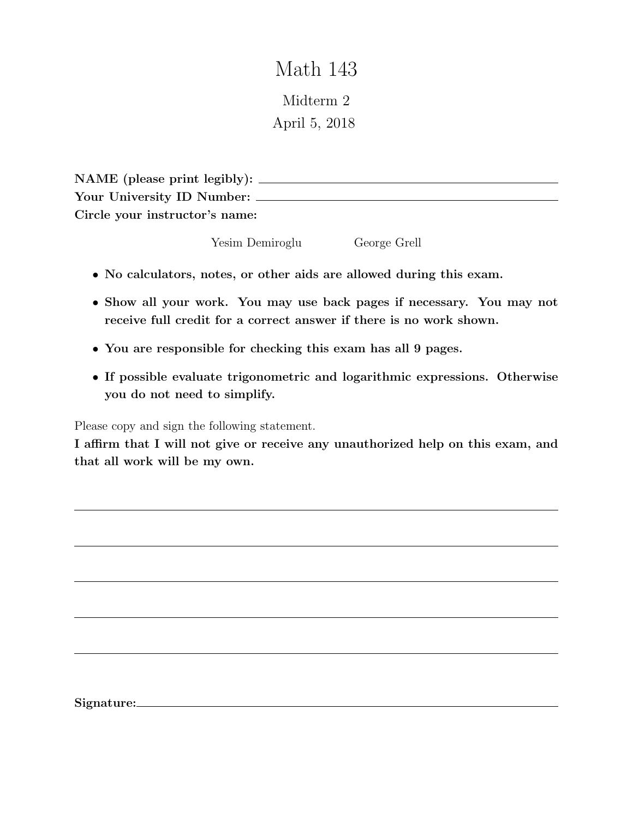## Math 143

Midterm 2 April 5, 2018

| NAME (please print legibly):   |  |
|--------------------------------|--|
| Your University ID Number:     |  |
| Circle your instructor's name: |  |

Yesim Demiroglu George Grell

- No calculators, notes, or other aids are allowed during this exam.
- Show all your work. You may use back pages if necessary. You may not receive full credit for a correct answer if there is no work shown.
- You are responsible for checking this exam has all 9 pages.
- If possible evaluate trigonometric and logarithmic expressions. Otherwise you do not need to simplify.

Please copy and sign the following statement.

I affirm that I will not give or receive any unauthorized help on this exam, and that all work will be my own.

Signature: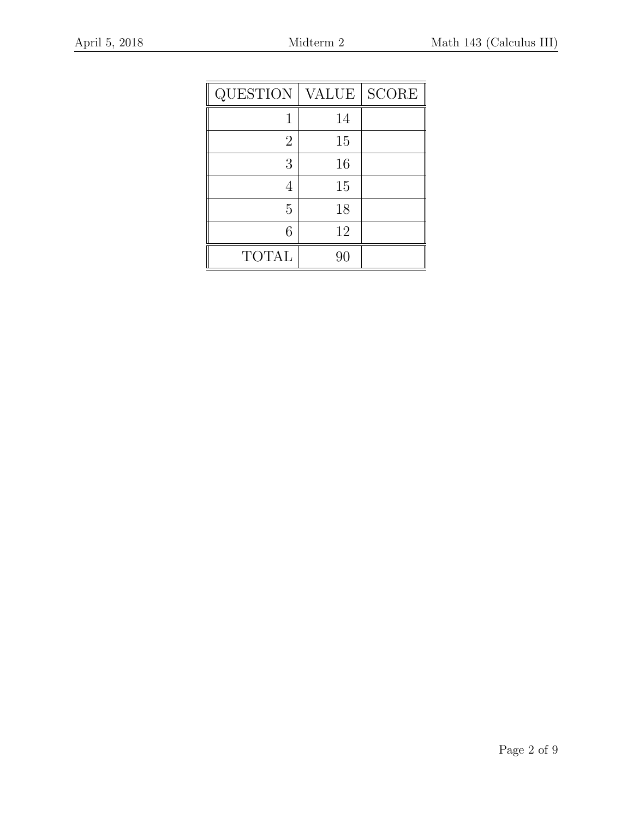| QUESTION       | <b>VALUE</b> | <b>SCORE</b> |
|----------------|--------------|--------------|
|                | 14           |              |
| $\overline{2}$ | 15           |              |
| 3              | 16           |              |
|                | 15           |              |
| 5              | 18           |              |
| 6              | 12           |              |
| <b>TOTAL</b>   | 90           |              |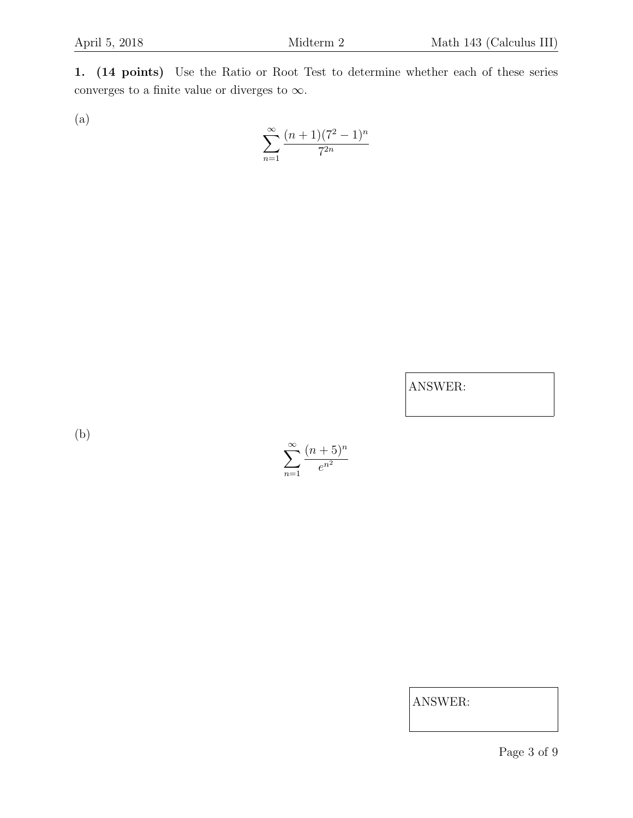1. (14 points) Use the Ratio or Root Test to determine whether each of these series converges to a finite value or diverges to  $\infty$ .

(a)

$$
\sum_{n=1}^{\infty} \frac{(n+1)(7^2-1)^n}{7^{2n}}
$$

ANSWER:

(b)



ANSWER:

Page 3 of 9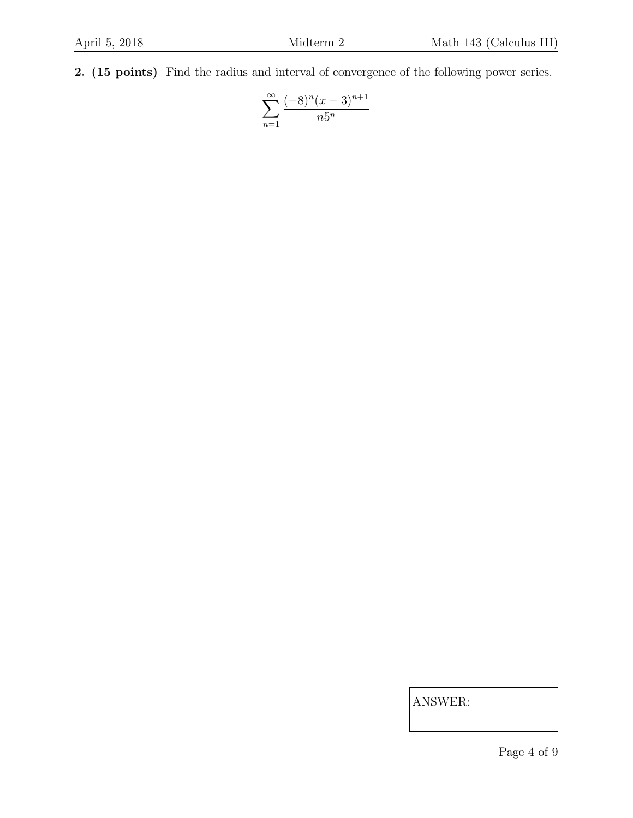2. (15 points) Find the radius and interval of convergence of the following power series.

$$
\sum_{n=1}^{\infty} \frac{(-8)^n (x-3)^{n+1}}{n5^n}
$$

Page 4 of 9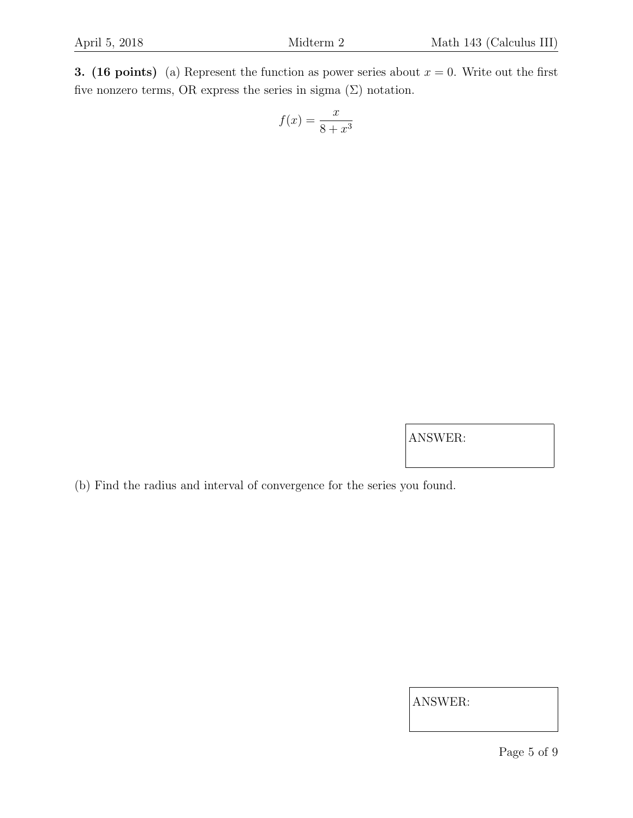3. (16 points) (a) Represent the function as power series about  $x = 0$ . Write out the first five nonzero terms, OR express the series in sigma  $(\Sigma)$  notation.

$$
f(x) = \frac{x}{8 + x^3}
$$

ANSWER:

(b) Find the radius and interval of convergence for the series you found.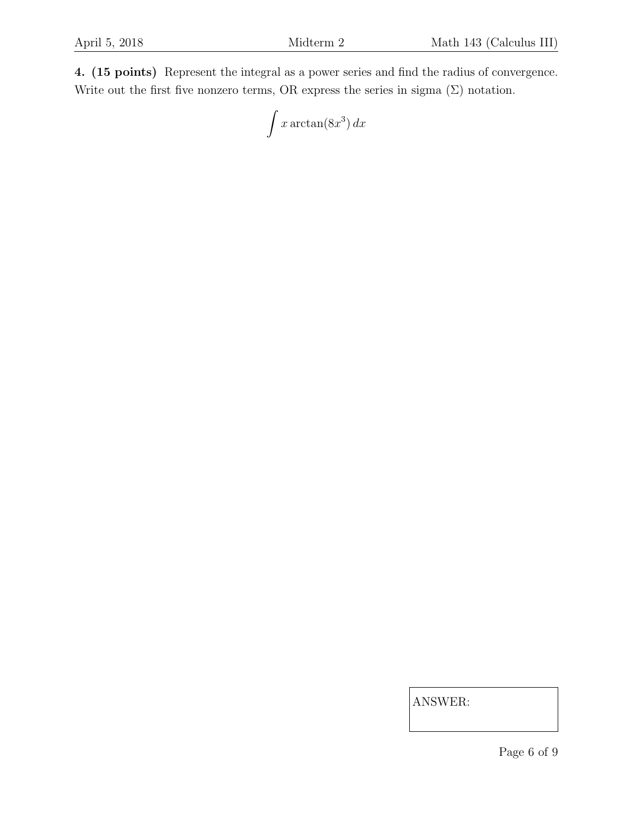4. (15 points) Represent the integral as a power series and find the radius of convergence. Write out the first five nonzero terms, OR express the series in sigma  $(\Sigma)$  notation.

$$
\int x \arctan(8x^3) \, dx
$$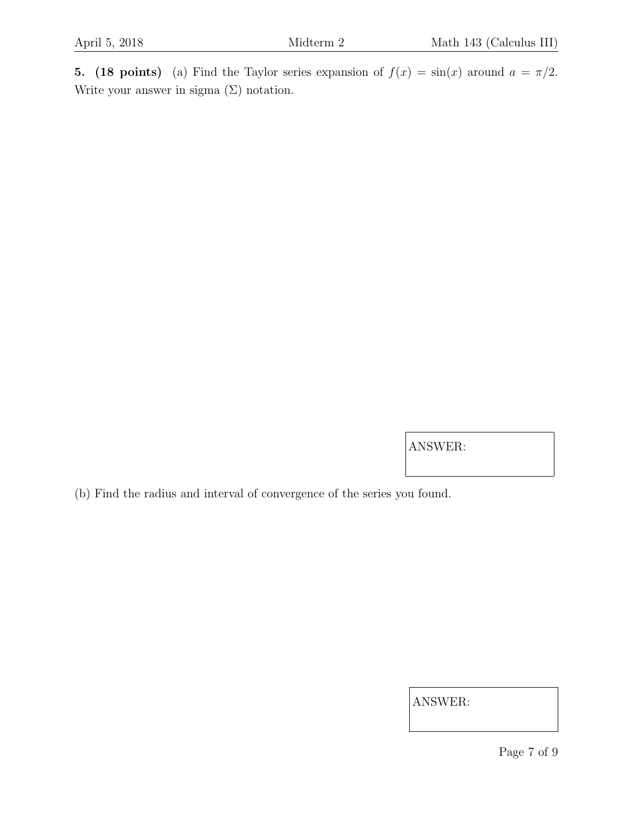5. (18 points) (a) Find the Taylor series expansion of  $f(x) = \sin(x)$  around  $a = \pi/2$ . Write your answer in sigma  $(\Sigma)$  notation.

ANSWER:

(b) Find the radius and interval of convergence of the series you found.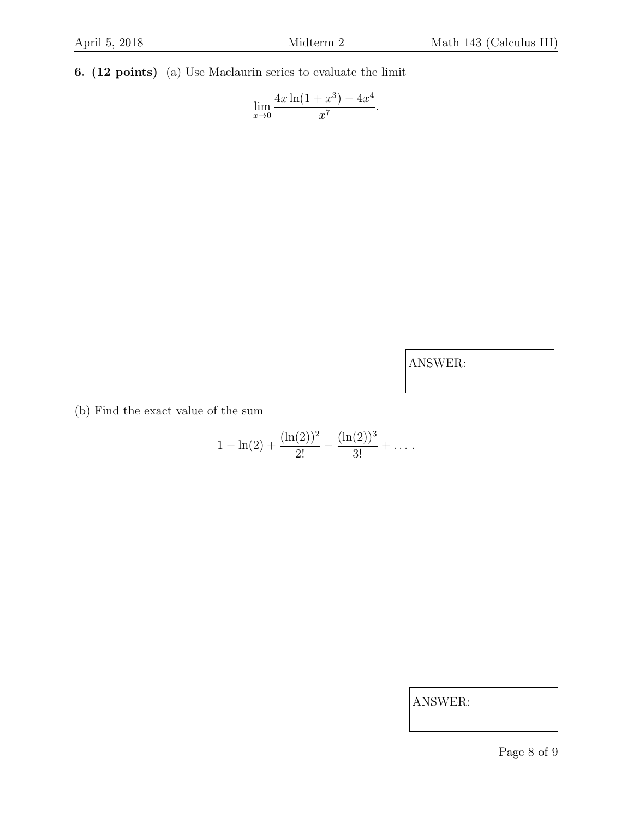6. (12 points) (a) Use Maclaurin series to evaluate the limit

$$
\lim_{x \to 0} \frac{4x \ln(1+x^3) - 4x^4}{x^7}.
$$

ANSWER:

(b) Find the exact value of the sum

$$
1 - \ln(2) + \frac{(\ln(2))^2}{2!} - \frac{(\ln(2))^3}{3!} + \dots
$$